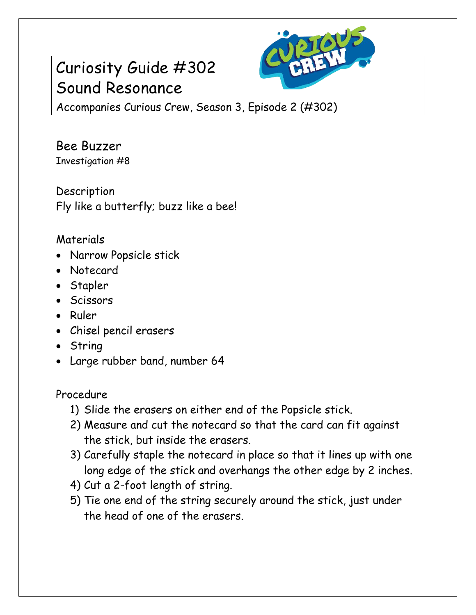## Curiosity Guide #302 Sound Resonance



Accompanies Curious Crew, Season 3, Episode 2 (#302)

Bee Buzzer Investigation #8

Description Fly like a butterfly; buzz like a bee!

## Materials

- Narrow Popsicle stick
- Notecard
- Stapler
- Scissors
- Ruler
- Chisel pencil erasers
- String
- Large rubber band, number 64

Procedure

- 1) Slide the erasers on either end of the Popsicle stick.
- 2) Measure and cut the notecard so that the card can fit against the stick, but inside the erasers.
- 3) Carefully staple the notecard in place so that it lines up with one long edge of the stick and overhangs the other edge by 2 inches.
- 4) Cut a 2-foot length of string.
- 5) Tie one end of the string securely around the stick, just under the head of one of the erasers.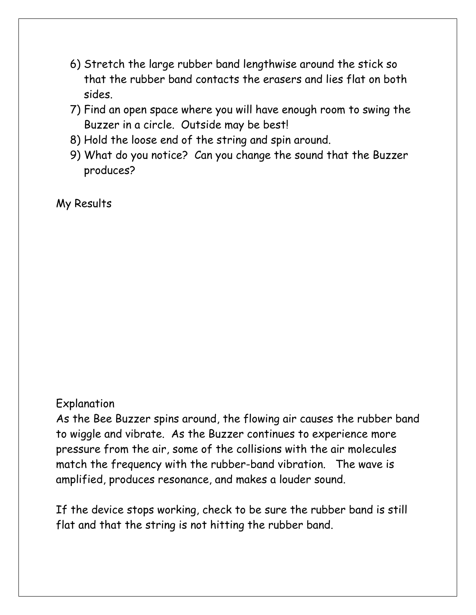- 6) Stretch the large rubber band lengthwise around the stick so that the rubber band contacts the erasers and lies flat on both sides.
- 7) Find an open space where you will have enough room to swing the Buzzer in a circle. Outside may be best!
- 8) Hold the loose end of the string and spin around.
- 9) What do you notice? Can you change the sound that the Buzzer produces?

My Results

## Explanation

As the Bee Buzzer spins around, the flowing air causes the rubber band to wiggle and vibrate. As the Buzzer continues to experience more pressure from the air, some of the collisions with the air molecules match the frequency with the rubber-band vibration. The wave is amplified, produces resonance, and makes a louder sound.

If the device stops working, check to be sure the rubber band is still flat and that the string is not hitting the rubber band.